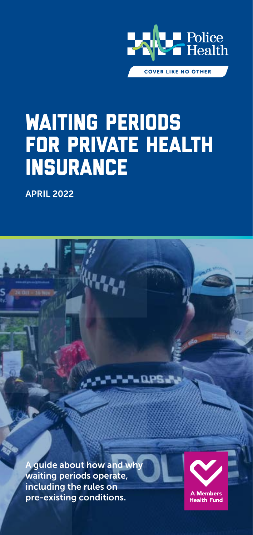

# Waiting Periods for Private Health **INSURANCE**

APRIL 2022

A guide about how and why waiting periods operate, including the rules on pre-existing conditions.



A Members **Health Fund**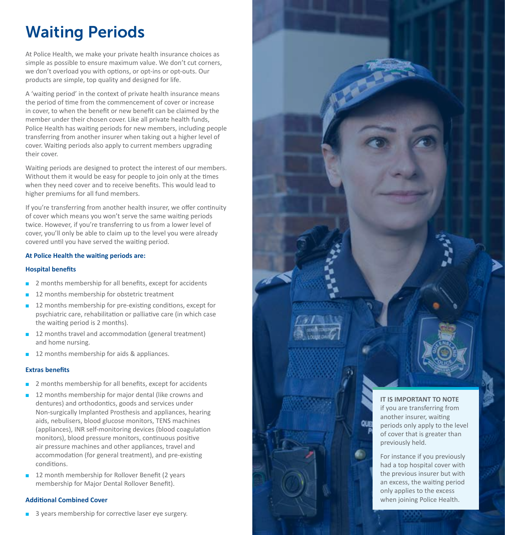### Waiting Periods

At Police Health, we make your private health insurance choices as simple as possible to ensure maximum value. We don't cut corners, we don't overload you with options, or opt-ins or opt-outs. Our products are simple, top quality and designed for life.

A 'waiting period' in the context of private health insurance means the period of time from the commencement of cover or increase in cover, to when the benefit or new benefit can be claimed by the member under their chosen cover. Like all private health funds, Police Health has waiting periods for new members, including people transferring from another insurer when taking out a higher level of cover. Waiting periods also apply to current members upgrading their cover.

Waiting periods are designed to protect the interest of our members. Without them it would be easy for people to join only at the times when they need cover and to receive benefits. This would lead to higher premiums for all fund members.

If you're transferring from another health insurer, we offer continuity of cover which means you won't serve the same waiting periods twice. However, if you're transferring to us from a lower level of cover, you'll only be able to claim up to the level you were already covered until you have served the waiting period.

#### **At Police Health the waiting periods are:**

#### **Hospital benefits**

- $\blacksquare$  2 months membership for all benefits, except for accidents
- 12 months membership for obstetric treatment
- $\blacksquare$  12 months membership for pre-existing conditions, except for psychiatric care, rehabilitation or palliative care (in which case the waiting period is 2 months).
- 12 months travel and accommodation (general treatment) and home nursing.
- **12** months membership for aids & appliances.

#### **Extras benefits**

- $\blacksquare$  2 months membership for all benefits, except for accidents
- **n** 12 months membership for major dental (like crowns and dentures) and orthodontics, goods and services under Non-surgically Implanted Prosthesis and appliances, hearing aids, nebulisers, blood glucose monitors, TENS machines (appliances), INR self-monitoring devices (blood coagulation monitors), blood pressure monitors, continuous positive air pressure machines and other appliances, travel and accommodation (for general treatment), and pre-existing conditions.
- **12** month membership for Rollover Benefit (2 years membership for Major Dental Rollover Benefit).

#### **Additional Combined Cover**

**B** 3 years membership for corrective laser eye surgery.



For instance if you previously had a top hospital cover with the previous insurer but with an excess, the waiting period only applies to the excess when joining Police Health.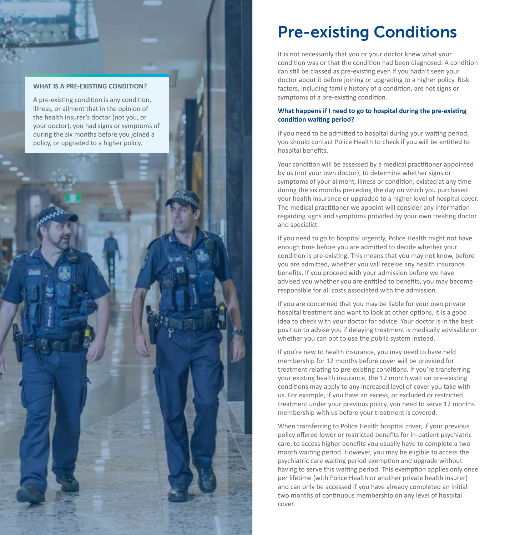#### **WHAT IS A PRE-EXISTING CONDITION?**

A pre-existing condition is any condition, illness, or ailment that in the opinion of the health insurer's doctor (not you, or your doctor), you had signs or symptoms of during the six months before you joined a policy, or upgraded to a higher policy.

### Pre-existing Conditions

It is not necessarily that you or your doctor knew what your condition was or that the condition had been diagnosed. A condition can still be classed as pre-existing even if you hadn't seen your doctor about it before joining or upgrading to a higher policy. Risk factors, including family history of a condition, are not signs or symptoms of a pre-existing condition.

#### **What happens if I need to go to hospital during the pre-existing condition waiting period?**

If you need to be admitted to hospital during your waiting period, you should contact Police Health to check if you will be entitled to hospital benefits.

Your condition will be assessed by a medical practitioner appointed by us (not your own doctor), to determine whether signs or symptoms of your ailment, illness or condition, existed at any time during the six months preceding the day on which you purchased your health insurance or upgraded to a higher level of hospital cover. The medical practitioner we appoint will consider any information regarding signs and symptoms provided by your own treating doctor and specialist.

If you need to go to hospital urgently, Police Health might not have enough time before you are admitted to decide whether your condition is pre-existing. This means that you may not know, before you are admitted, whether you will receive any health insurance benefits. If you proceed with your admission before we have advised you whether you are entitled to benefits, you may become responsible for all costs associated with the admission.

If you are concerned that you may be liable for your own private hospital treatment and want to look at other options, it is a good idea to check with your doctor for advice. Your doctor is in the best position to advise you if delaying treatment is medically advisable or whether you can opt to use the public system instead.

If you're new to health insurance, you may need to have held membership for 12 months before cover will be provided for treatment relating to pre-existing conditions. If you're transferring your existing health insurance, the 12 month wait on pre-existing conditions may apply to any increased level of cover you take with us. For example, if you have an excess, or excluded or restricted treatment under your previous policy, you need to serve 12 months membership with us before your treatment is covered.

When transferring to Police Health hospital cover, if your previous policy offered lower or restricted benefits for in-patient psychiatric care, to access higher benefits you usually have to complete a two month waiting period. However, you may be eligible to access the psychiatric care waiting period exemption and upgrade without having to serve this waiting period. This exemption applies only once per lifetime (with Police Health or another private health insurer) and can only be accessed if you have already completed an initial two months of continuous membership on any level of hospital cover.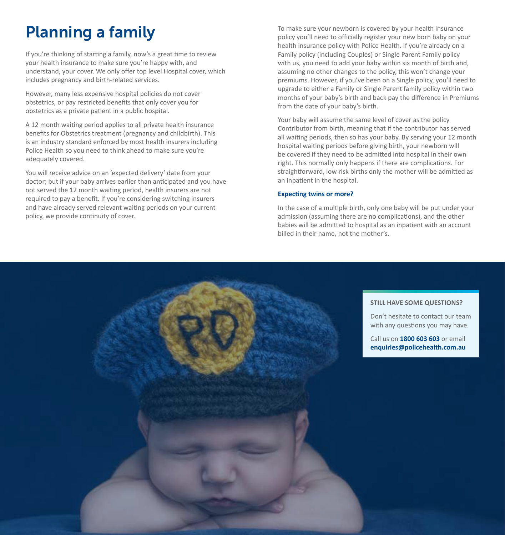## Planning a family

If you're thinking of starting a family, now's a great time to review your health insurance to make sure you're happy with, and understand, your cover. We only offer top level Hospital cover, which includes pregnancy and birth-related services.

However, many less expensive hospital policies do not cover obstetrics, or pay restricted benefits that only cover you for obstetrics as a private patient in a public hospital.

A 12 month waiting period applies to all private health insurance benefits for Obstetrics treatment (pregnancy and childbirth). This is an industry standard enforced by most health insurers including Police Health so you need to think ahead to make sure you're adequately covered.

You will receive advice on an 'expected delivery' date from your doctor; but if your baby arrives earlier than anticipated and you have not served the 12 month waiting period, health insurers are not required to pay a benefit. If you're considering switching insurers and have already served relevant waiting periods on your current policy, we provide continuity of cover.

To make sure your newborn is covered by your health insurance policy you'll need to officially register your new born baby on your health insurance policy with Police Health. If you're already on a Family policy (including Couples) or Single Parent Family policy with us, you need to add your baby within six month of birth and, assuming no other changes to the policy, this won't change your premiums. However, if you've been on a Single policy, you'll need to upgrade to either a Family or Single Parent family policy within two months of your baby's birth and back pay the difference in Premiums from the date of your baby's birth.

Your baby will assume the same level of cover as the policy Contributor from birth, meaning that if the contributor has served all waiting periods, then so has your baby. By serving your 12 month hospital waiting periods before giving birth, your newborn will be covered if they need to be admitted into hospital in their own right. This normally only happens if there are complications. For straightforward, low risk births only the mother will be admitted as an inpatient in the hospital.

#### **Expecting twins or more?**

In the case of a multiple birth, only one baby will be put under your admission (assuming there are no complications), and the other babies will be admitted to hospital as an inpatient with an account billed in their name, not the mother's.

#### **STILL HAVE SOME QUESTIONS?**

Don't hesitate to contact our team with any questions you may have.

Call us on **1800 603 603** or email **enquiries@policehealth.com.au**